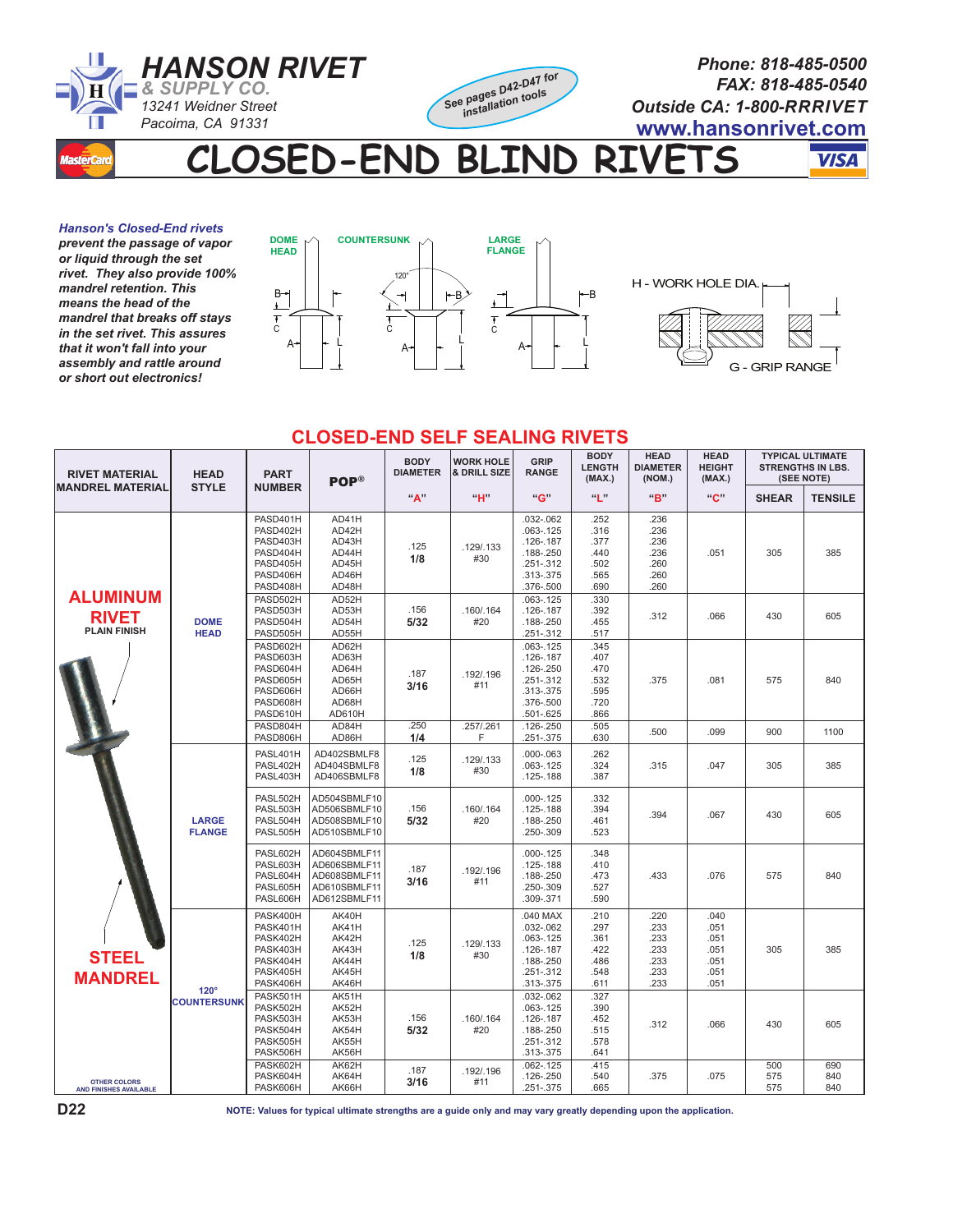

**CLOSED-END BLIND RIVETS** 

**VISA** 

*Hanson's Closed-End rivets prevent the passage of vapor or liquid through the set rivet. They also provide 100% mandrel retention. This means the head of the mandrel that breaks off stays in the set rivet. This assures that it won't fall into your assembly and rattle around or short out electronics!*



## **CLOSED-END SELF SEALING RIVETS**

| <b>RIVET MATERIAL</b><br><b>MANDREL MATERIAL</b>                                                                                                 | <b>HEAD</b><br><b>STYLE</b>       | <b>PART</b>                                                                      | <b>POP®</b>                                                                  | <b>BODY</b><br><b>DIAMETER</b> | <b>WORK HOLE</b><br>& DRILL SIZE | GRIP<br><b>RANGE</b>                                                                                    | <b>BODY</b><br><b>LENGTH</b><br>(MAX.)               | <b>HEAD</b><br><b>DIAMETER</b><br>(NOM.)             | <b>HEAD</b><br><b>HEIGHT</b><br>(MAX.)               | <b>TYPICAL ULTIMATE</b><br><b>STRENGTHS IN LBS.</b><br>(SEE NOTE) |                   |
|--------------------------------------------------------------------------------------------------------------------------------------------------|-----------------------------------|----------------------------------------------------------------------------------|------------------------------------------------------------------------------|--------------------------------|----------------------------------|---------------------------------------------------------------------------------------------------------|------------------------------------------------------|------------------------------------------------------|------------------------------------------------------|-------------------------------------------------------------------|-------------------|
|                                                                                                                                                  |                                   | <b>NUMBER</b>                                                                    |                                                                              | "А"                            | "H"                              | "G"                                                                                                     | $\mathbf{u}_{\parallel}$ "                           | "B"                                                  | $^{\prime\prime}$ C"                                 | <b>SHEAR</b>                                                      | <b>TENSILE</b>    |
| <b>ALUMINUM</b><br><b>RIVET</b><br><b>PLAIN FINISH</b><br><b>STEEL</b><br><b>MANDREL</b><br><b>OTHER COLORS</b><br><b>AND FINISHES AVAILABLE</b> | <b>DOME</b><br><b>HEAD</b>        | PASD401H<br>PASD402H<br>PASD403H<br>PASD404H<br>PASD405H<br>PASD406H<br>PASD408H | AD41H<br>AD42H<br>AD43H<br>AD44H<br>AD45H<br>AD46H<br>AD48H                  | .125<br>1/8                    | .129/.133<br>#30                 | .032-.062<br>$.063 - .125$<br>$.126 - .187$<br>.188-.250<br>$.251 - .312$<br>.313-.375<br>.376-.500     | .252<br>.316<br>.377<br>.440<br>.502<br>.565<br>.690 | .236<br>.236<br>.236<br>.236<br>.260<br>.260<br>.260 | .051                                                 | 305                                                               | 385               |
|                                                                                                                                                  |                                   | PASD502H<br>PASD503H<br>PASD504H<br>PASD505H                                     | AD52H<br>AD53H<br>AD54H<br>AD55H                                             | .156<br>5/32                   | .160/.164<br>#20                 | $.063 - .125$<br>$.126 - .187$<br>.188-.250<br>.251-.312                                                | .330<br>.392<br>.455<br>.517                         | .312                                                 | .066                                                 | 430                                                               | 605               |
|                                                                                                                                                  |                                   | PASD602H<br>PASD603H<br>PASD604H<br>PASD605H<br>PASD606H<br>PASD608H<br>PASD610H | AD62H<br>AD63H<br>AD64H<br>AD65H<br>AD66H<br>AD68H<br>AD610H                 | .187<br>3/16                   | .192/.196<br>#11                 | $.063 - .125$<br>$.126 - .187$<br>$.126 - .250$<br>$.251 - .312$<br>.313-.375<br>.376-.500<br>.501-.625 | .345<br>.407<br>.470<br>.532<br>.595<br>.720<br>.866 | .375                                                 | .081                                                 | 575                                                               | 840               |
|                                                                                                                                                  |                                   | PASD804H<br>PASD806H                                                             | AD84H<br>AD86H                                                               | .250<br>1/4                    | .257/.261<br>F                   | .126-.250<br>.251-.375                                                                                  | .505<br>.630                                         | .500                                                 | .099                                                 | 900                                                               | 1100              |
|                                                                                                                                                  | <b>LARGE</b><br><b>FLANGE</b>     | PASL401H<br>PASL402H<br>PASL403H                                                 | AD402SBMLF8<br>AD404SBMLF8<br>AD406SBMLF8                                    | .125<br>1/8                    | .129/.133<br>#30                 | $.000 - .063$<br>$.063 - .125$<br>$.125 - .188$                                                         | .262<br>.324<br>.387                                 | .315                                                 | .047                                                 | 305                                                               | 385               |
|                                                                                                                                                  |                                   | PASL502H<br>PASL503H<br>PASL504H<br>PASL505H                                     | AD504SBMLF10<br>AD506SBMLF10<br>AD508SBMLF10<br>AD510SBMLF10                 | .156<br>5/32                   | .160/.164<br>#20                 | $.000 - .125$<br>$.125 - .188$<br>.188-.250<br>.250-.309                                                | .332<br>.394<br>.461<br>.523                         | .394                                                 | .067                                                 | 430                                                               | 605               |
|                                                                                                                                                  |                                   | PASL602H<br>PASL603H<br>PASL604H<br>PASL605H<br>PASL606H                         | AD604SBMLF11<br>AD606SBMLF11<br>AD608SBMLF11<br>AD610SBMLF11<br>AD612SBMLF11 | .187<br>3/16                   | .192/.196<br>#11                 | $.000 - .125$<br>$.125 - .188$<br>.188-.250<br>.250-.309<br>.309-.371                                   | .348<br>.410<br>.473<br>.527<br>.590                 | .433                                                 | .076                                                 | 575                                                               | 840               |
|                                                                                                                                                  | $120^\circ$<br><b>COUNTERSUNK</b> | PASK400H<br>PASK401H<br>PASK402H<br>PASK403H<br>PASK404H<br>PASK405H<br>PASK406H | AK40H<br>AK41H<br>AK42H<br>AK43H<br>AK44H<br>AK45H<br>AK46H                  | .125<br>1/8                    | .129/.133<br>#30                 | .040 MAX<br>.032-.062<br>$.063 - .125$<br>$.126 - .187$<br>.188-.250<br>$.251 - .312$<br>.313-.375      | .210<br>.297<br>.361<br>.422<br>.486<br>.548<br>.611 | .220<br>.233<br>.233<br>.233<br>.233<br>.233<br>.233 | .040<br>.051<br>.051<br>.051<br>.051<br>.051<br>.051 | 305                                                               | 385               |
|                                                                                                                                                  |                                   | PASK501H<br>PASK502H<br>PASK503H<br>PASK504H<br>PASK505H<br>PASK506H             | AK51H<br>AK52H<br>AK53H<br>AK54H<br>AK55H<br>AK56H                           | .156<br>5/32                   | .160/.164<br>#20                 | .032-.062<br>$.063 - .125$<br>$.126 - .187$<br>.188-.250<br>$.251 - .312$<br>.313-.375                  | .327<br>.390<br>.452<br>.515<br>.578<br>.641         | .312                                                 | .066                                                 | 430                                                               | 605               |
|                                                                                                                                                  |                                   | PASK602H<br>PASK604H<br>PASK606H                                                 | AK62H<br>AK64H<br>AK66H                                                      | .187<br>3/16                   | .192/.196<br>#11                 | $.062 - .125$<br>$.126 - .250$<br>.251-.375                                                             | .415<br>.540<br>665                                  | .375                                                 | .075                                                 | 500<br>575<br>575                                                 | 690<br>840<br>840 |

**NOTE: Values for typical ultimate strengths are a guide only and may vary greatly depending upon the application.**